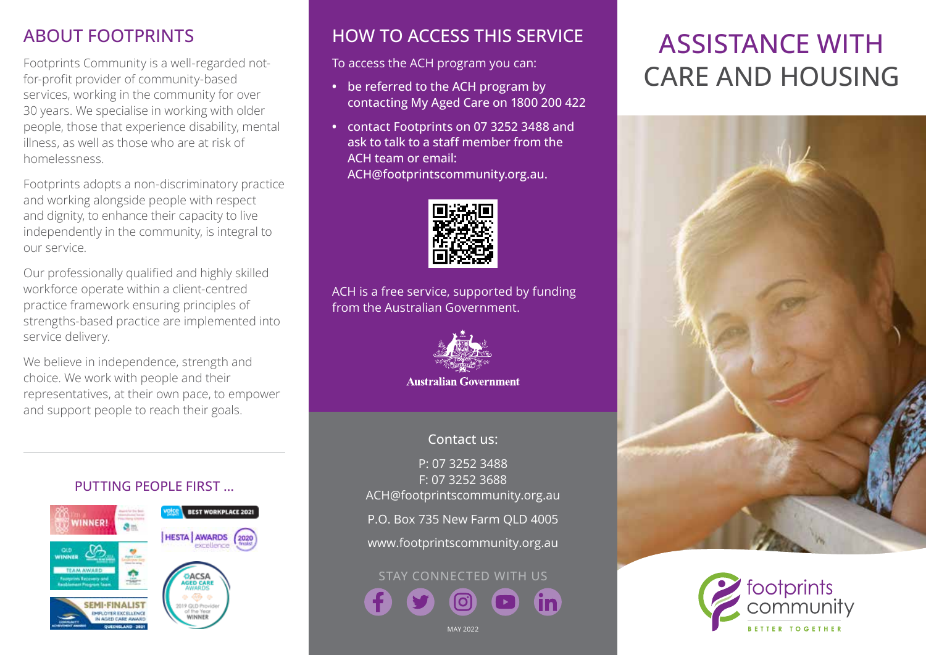### ABOUT FOOTPRINTS

Footprints Community is a well-regarded notfor-profit provider of community-based services, working in the community for over 30 years. We specialise in working with older people, those that experience disability, mental illness, as well as those who are at risk of homelessness.

Footprints adopts a non-discriminatory practice and working alongside people with respect and dignity, to enhance their capacity to live independently in the community, is integral to our service.

Our professionally qualified and highly skilled workforce operate within a client-centred practice framework ensuring principles of strengths-based practice are implemented into service delivery.

We believe in independence, strength and choice. We work with people and their representatives, at their own pace, to empower and support people to reach their goals.

### PUTTING PEOPLE FIRST …



### HOW TO ACCESS THIS SERVICE

To access the ACH program you can:

- **•** be referred to the ACH program by contacting My Aged Care on 1800 200 422
- **•** contact Footprints on 07 3252 3488 and ask to talk to a staff member from the ACH team or email: ACH@footprintscommunity.org.au.



ACH is a free service, supported by funding from the Australian Government.



**Australian Government** 

### Contact us:

P: 07 3252 3488 F: 07 3252 3688 ACH@footprintscommunity.org.au P.O. Box 735 New Farm QLD 4005 www.footprintscommunity.org.au

STAY CONNECTED WITH US

#### MAY 2022

# ASSISTANCE WITH CARE AND HOUSING